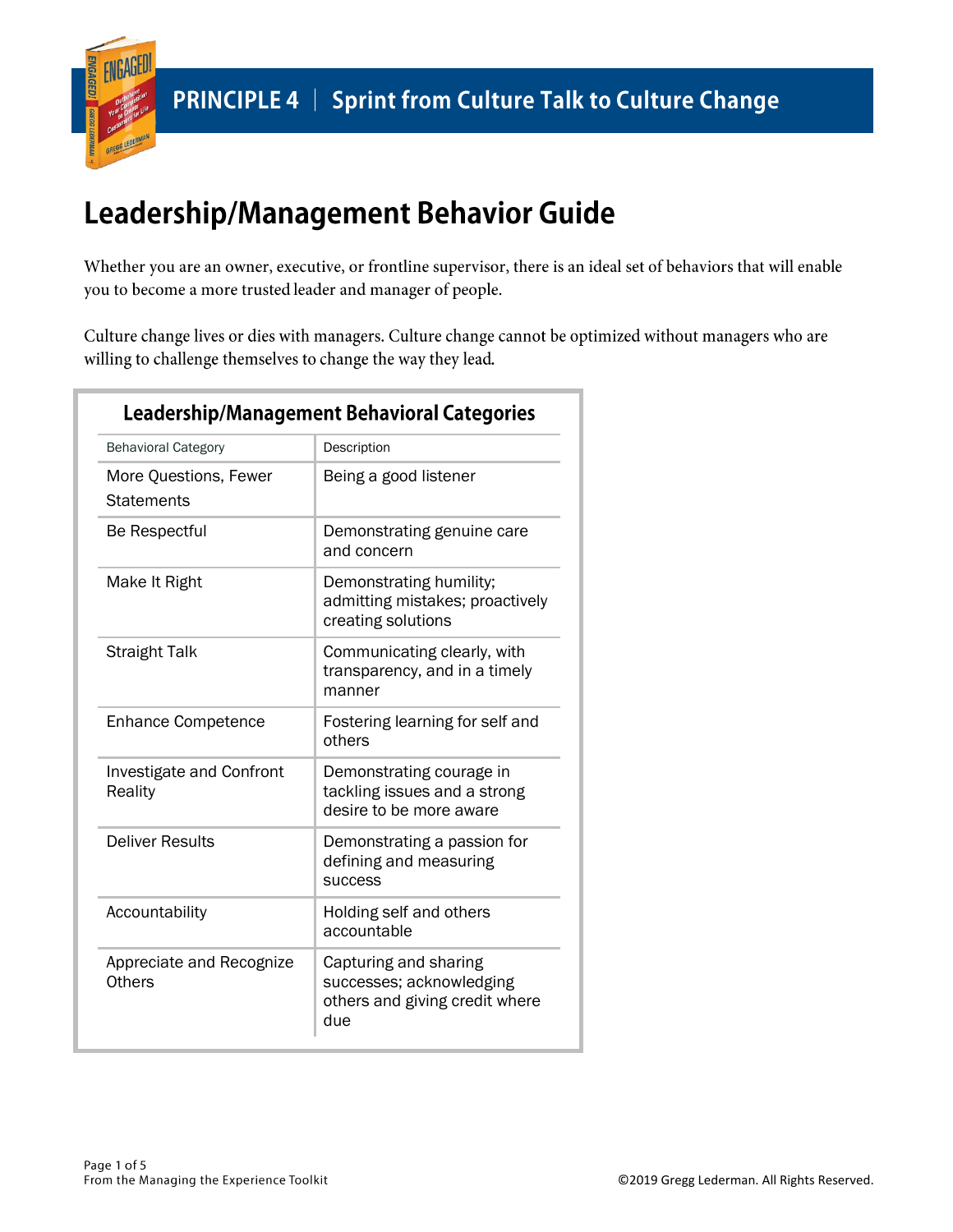# Leadership/Management Behavior Guide

Whether you are an owner, executive, or frontline supervisor, there is an ideal set of behaviors that will enable you to become a more trusted leader and manager of people.

Culture change lives or dies with managers. Culture change cannot be optimized without managers who are willing to challenge themselves to change the way they lead.

| <b>Behavioral Category</b>                 | Description                                                                                |
|--------------------------------------------|--------------------------------------------------------------------------------------------|
| More Questions, Fewer<br><b>Statements</b> | Being a good listener                                                                      |
| Be Respectful                              | Demonstrating genuine care<br>and concern                                                  |
| Make It Right                              | Demonstrating humility;<br>admitting mistakes; proactively<br>creating solutions           |
| <b>Straight Talk</b>                       | Communicating clearly, with<br>transparency, and in a timely<br>manner                     |
| <b>Enhance Competence</b>                  | Fostering learning for self and<br>others                                                  |
| <b>Investigate and Confront</b><br>Reality | Demonstrating courage in<br>tackling issues and a strong<br>desire to be more aware        |
| <b>Deliver Results</b>                     | Demonstrating a passion for<br>defining and measuring<br><b>SUCCESS</b>                    |
| Accountability                             | Holding self and others<br>accountable                                                     |
| Appreciate and Recognize<br>Others         | Capturing and sharing<br>successes; acknowledging<br>others and giving credit where<br>due |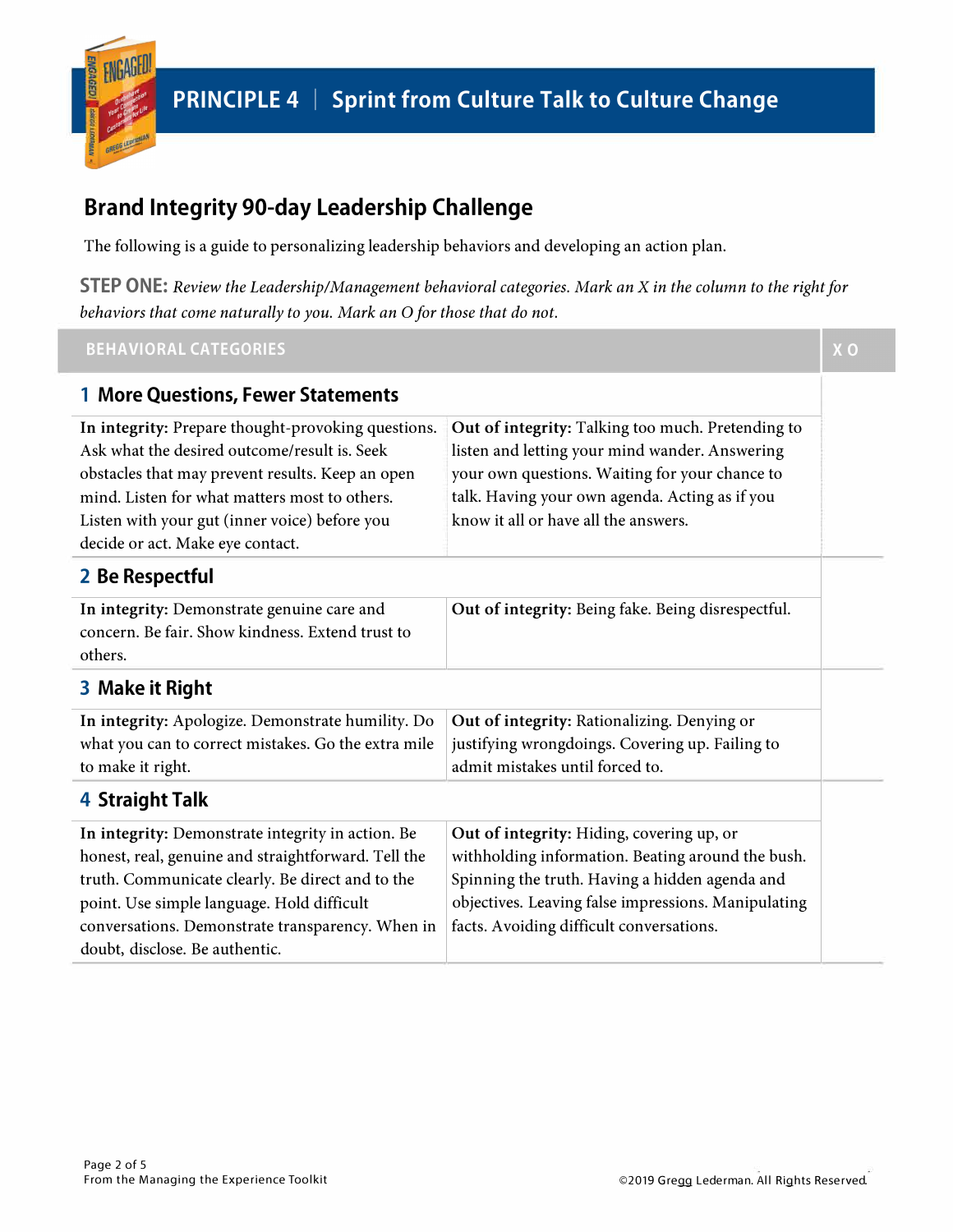

# **Brand Integrity 90-day Leadership Challenge**

The following is a guide to personalizing leadership behaviors and developing an action plan.

**STEP ONE:** *Review the Leadership/Management behavioral categories. Mark an X in the column to the right for behaviors that come naturally to you. Mark an* O *for those that do not.* 

**BEHAVIORAL CATEGORIES** 

| <u>DEIIAVIOIAL CATLOOMILJ</u>                                                                                                                                                                                                                                                                    |                                                                                                                                                                                                                                                     | $\sim$ $\sim$ |
|--------------------------------------------------------------------------------------------------------------------------------------------------------------------------------------------------------------------------------------------------------------------------------------------------|-----------------------------------------------------------------------------------------------------------------------------------------------------------------------------------------------------------------------------------------------------|---------------|
| <b>1 More Questions, Fewer Statements</b>                                                                                                                                                                                                                                                        |                                                                                                                                                                                                                                                     |               |
| In integrity: Prepare thought-provoking questions.<br>Ask what the desired outcome/result is. Seek<br>obstacles that may prevent results. Keep an open<br>mind. Listen for what matters most to others.<br>Listen with your gut (inner voice) before you<br>decide or act. Make eye contact.     | Out of integrity: Talking too much. Pretending to<br>listen and letting your mind wander. Answering<br>your own questions. Waiting for your chance to<br>talk. Having your own agenda. Acting as if you<br>know it all or have all the answers.     |               |
| 2 Be Respectful                                                                                                                                                                                                                                                                                  |                                                                                                                                                                                                                                                     |               |
| In integrity: Demonstrate genuine care and<br>concern. Be fair. Show kindness. Extend trust to<br>others.                                                                                                                                                                                        | Out of integrity: Being fake. Being disrespectful.                                                                                                                                                                                                  |               |
| 3 Make it Right                                                                                                                                                                                                                                                                                  |                                                                                                                                                                                                                                                     |               |
| In integrity: Apologize. Demonstrate humility. Do<br>what you can to correct mistakes. Go the extra mile<br>to make it right.                                                                                                                                                                    | Out of integrity: Rationalizing. Denying or<br>justifying wrongdoings. Covering up. Failing to<br>admit mistakes until forced to.                                                                                                                   |               |
| <b>4 Straight Talk</b>                                                                                                                                                                                                                                                                           |                                                                                                                                                                                                                                                     |               |
| In integrity: Demonstrate integrity in action. Be<br>honest, real, genuine and straightforward. Tell the<br>truth. Communicate clearly. Be direct and to the<br>point. Use simple language. Hold difficult<br>conversations. Demonstrate transparency. When in<br>doubt, disclose. Be authentic. | Out of integrity: Hiding, covering up, or<br>withholding information. Beating around the bush.<br>Spinning the truth. Having a hidden agenda and<br>objectives. Leaving false impressions. Manipulating<br>facts. Avoiding difficult conversations. |               |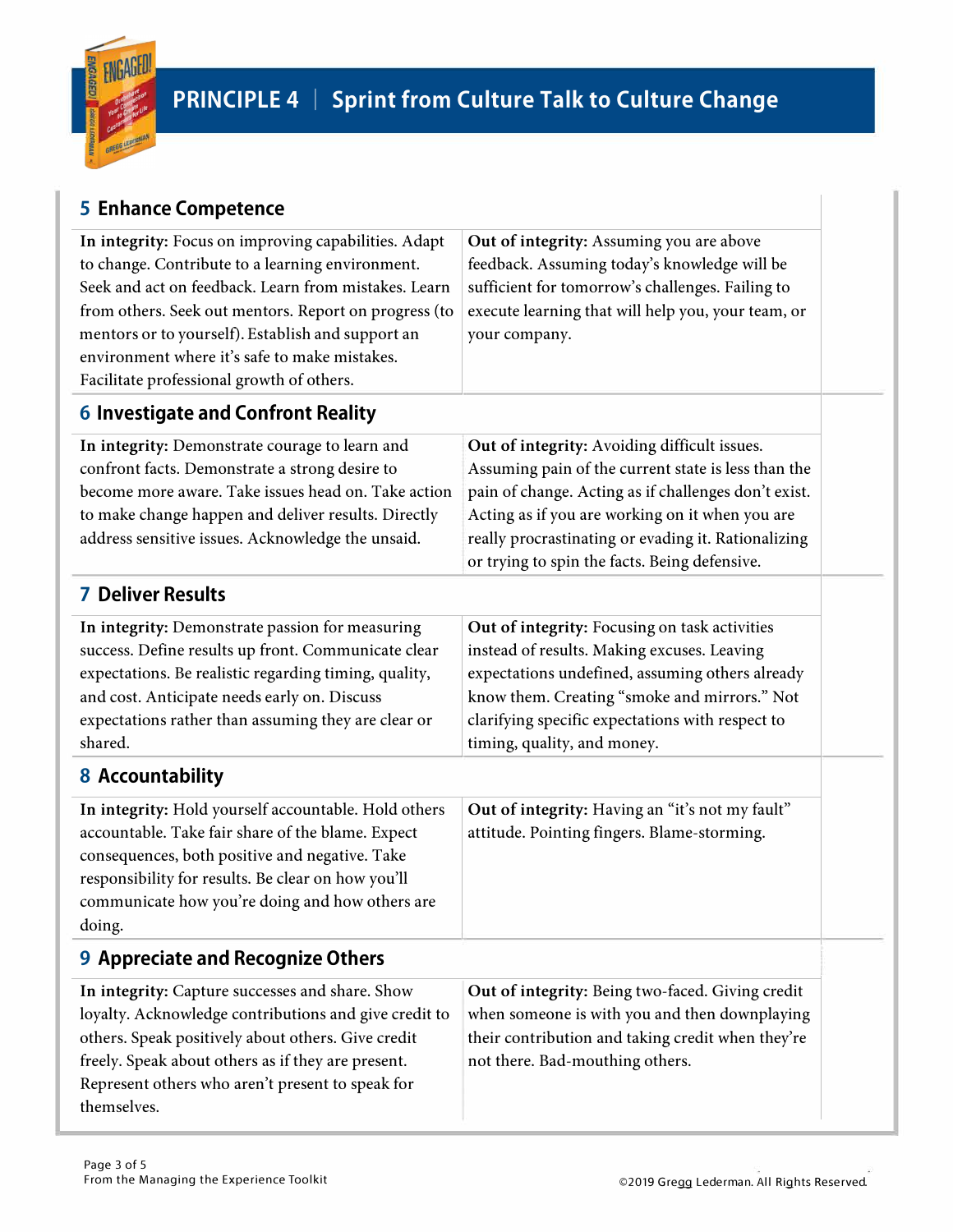

# **5 Enhance Competence**

| In integrity: Focus on improving capabilities. Adapt<br>to change. Contribute to a learning environment.<br>Seek and act on feedback. Learn from mistakes. Learn<br>from others. Seek out mentors. Report on progress (to<br>mentors or to yourself). Establish and support an<br>environment where it's safe to make mistakes.<br>Facilitate professional growth of others. | Out of integrity: Assuming you are above<br>feedback. Assuming today's knowledge will be<br>sufficient for tomorrow's challenges. Failing to<br>execute learning that will help you, your team, or<br>your company.                                                                                                    |  |  |
|------------------------------------------------------------------------------------------------------------------------------------------------------------------------------------------------------------------------------------------------------------------------------------------------------------------------------------------------------------------------------|------------------------------------------------------------------------------------------------------------------------------------------------------------------------------------------------------------------------------------------------------------------------------------------------------------------------|--|--|
| <b>6 Investigate and Confront Reality</b>                                                                                                                                                                                                                                                                                                                                    |                                                                                                                                                                                                                                                                                                                        |  |  |
| In integrity: Demonstrate courage to learn and<br>confront facts. Demonstrate a strong desire to<br>become more aware. Take issues head on. Take action<br>to make change happen and deliver results. Directly<br>address sensitive issues. Acknowledge the unsaid.                                                                                                          | Out of integrity: Avoiding difficult issues.<br>Assuming pain of the current state is less than the<br>pain of change. Acting as if challenges don't exist.<br>Acting as if you are working on it when you are<br>really procrastinating or evading it. Rationalizing<br>or trying to spin the facts. Being defensive. |  |  |
| <b>7 Deliver Results</b>                                                                                                                                                                                                                                                                                                                                                     |                                                                                                                                                                                                                                                                                                                        |  |  |
| In integrity: Demonstrate passion for measuring<br>success. Define results up front. Communicate clear<br>expectations. Be realistic regarding timing, quality,<br>and cost. Anticipate needs early on. Discuss<br>expectations rather than assuming they are clear or<br>shared.                                                                                            | Out of integrity: Focusing on task activities<br>instead of results. Making excuses. Leaving<br>expectations undefined, assuming others already<br>know them. Creating "smoke and mirrors." Not<br>clarifying specific expectations with respect to<br>timing, quality, and money.                                     |  |  |
| <b>8 Accountability</b>                                                                                                                                                                                                                                                                                                                                                      |                                                                                                                                                                                                                                                                                                                        |  |  |
| In integrity: Hold yourself accountable. Hold others<br>accountable. Take fair share of the blame. Expect<br>consequences, both positive and negative. Take<br>responsibility for results. Be clear on how you'll<br>communicate how you're doing and how others are<br>doing.                                                                                               | Out of integrity: Having an "it's not my fault"<br>attitude. Pointing fingers. Blame-storming.                                                                                                                                                                                                                         |  |  |
| <b>9 Appreciate and Recognize Others</b>                                                                                                                                                                                                                                                                                                                                     |                                                                                                                                                                                                                                                                                                                        |  |  |
| In integrity: Capture successes and share. Show<br>loyalty. Acknowledge contributions and give credit to<br>others. Speak positively about others. Give credit<br>freely. Speak about others as if they are present.<br>Represent others who aren't present to speak for<br>themselves.                                                                                      | Out of integrity: Being two-faced. Giving credit<br>when someone is with you and then downplaying<br>their contribution and taking credit when they're<br>not there. Bad-mouthing others.                                                                                                                              |  |  |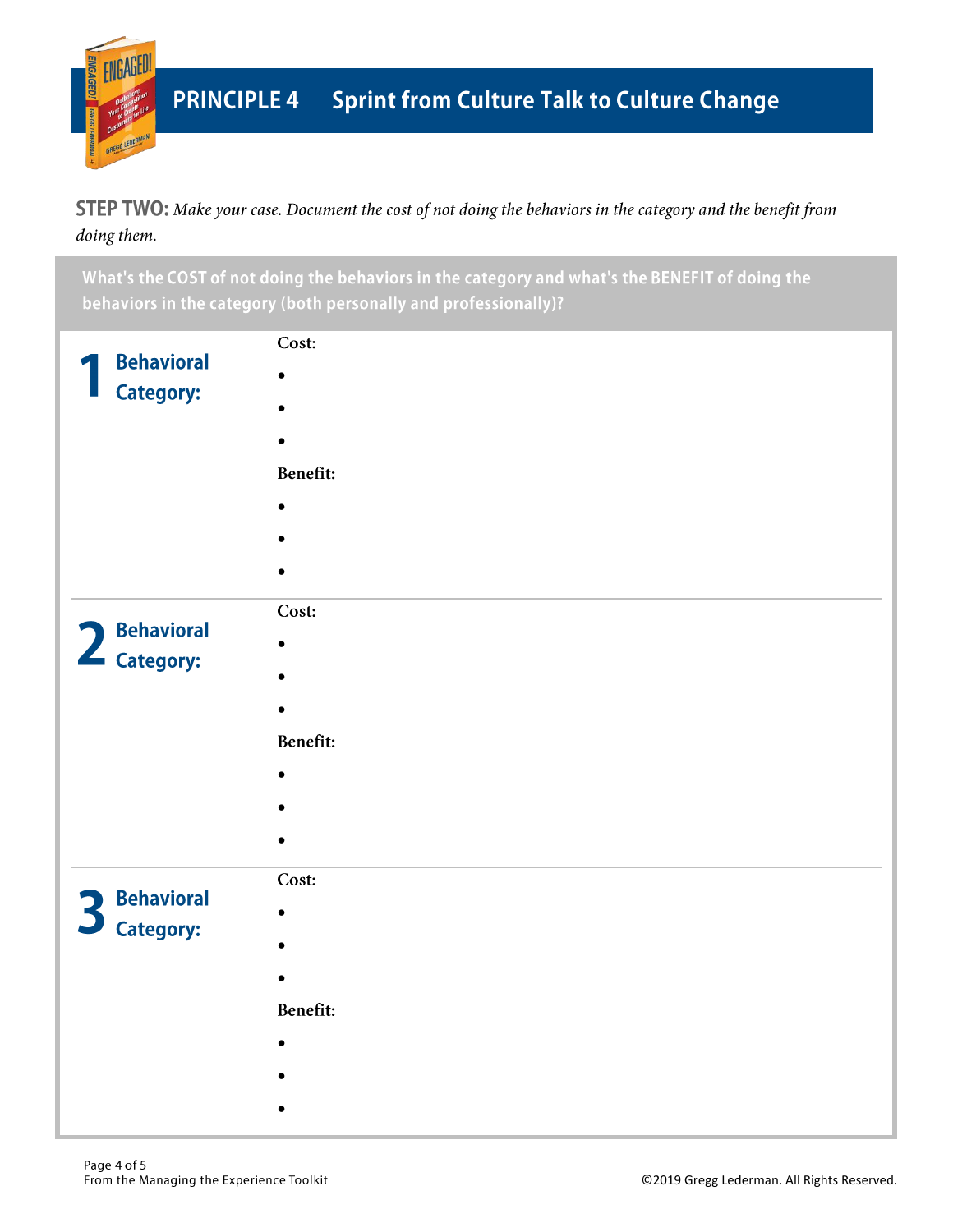

#### STEP TWO: Make your case. Document the cost of not doing the behaviors in the category and the benefit from doing them.

What's the COST of not doing the behaviors in the category and what's the BENEFIT of doing the behaviors in the category (both personally and professionally)?

| <b>Behavioral</b><br><b>Category:</b>                             | Cost:     |
|-------------------------------------------------------------------|-----------|
|                                                                   | $\bullet$ |
|                                                                   |           |
|                                                                   |           |
|                                                                   | Benefit:  |
|                                                                   |           |
|                                                                   |           |
|                                                                   |           |
| <b>Behavioral</b><br>2 Benavioral                                 | Cost:     |
|                                                                   | $\bullet$ |
|                                                                   |           |
|                                                                   |           |
|                                                                   | Benefit:  |
|                                                                   |           |
|                                                                   |           |
|                                                                   |           |
|                                                                   | Cost:     |
| <b>Behavioral</b><br>$\overline{\phantom{a}}$<br><b>Category:</b> | $\bullet$ |
|                                                                   |           |
|                                                                   | $\bullet$ |
|                                                                   | Benefit:  |
|                                                                   | $\bullet$ |
|                                                                   |           |
|                                                                   |           |
|                                                                   |           |